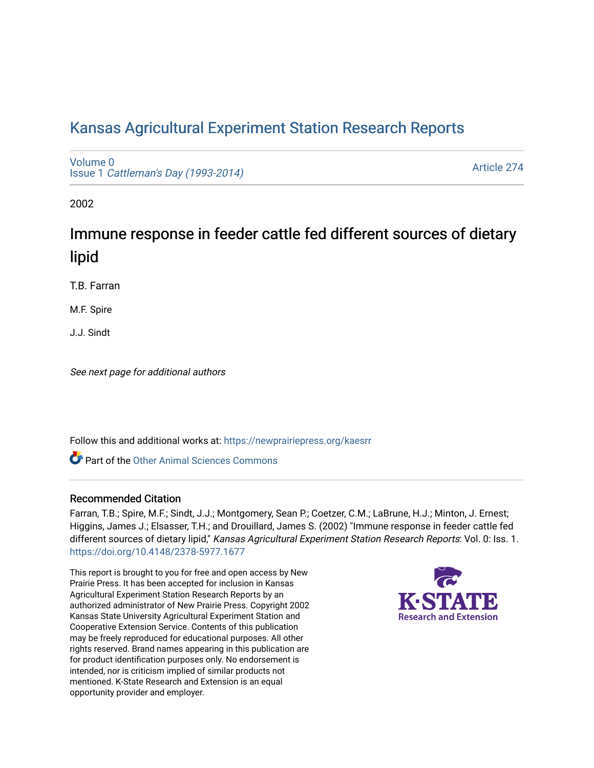# [Kansas Agricultural Experiment Station Research Reports](https://newprairiepress.org/kaesrr)

[Volume 0](https://newprairiepress.org/kaesrr/vol0) Issue 1 [Cattleman's Day \(1993-2014\)](https://newprairiepress.org/kaesrr/vol0/iss1) 

[Article 274](https://newprairiepress.org/kaesrr/vol0/iss1/274) 

2002

# Immune response in feeder cattle fed different sources of dietary lipid

T.B. Farran

M.F. Spire

J.J. Sindt

See next page for additional authors

Follow this and additional works at: [https://newprairiepress.org/kaesrr](https://newprairiepress.org/kaesrr?utm_source=newprairiepress.org%2Fkaesrr%2Fvol0%2Fiss1%2F274&utm_medium=PDF&utm_campaign=PDFCoverPages) 

**C** Part of the [Other Animal Sciences Commons](http://network.bepress.com/hgg/discipline/82?utm_source=newprairiepress.org%2Fkaesrr%2Fvol0%2Fiss1%2F274&utm_medium=PDF&utm_campaign=PDFCoverPages)

#### Recommended Citation

Farran, T.B.; Spire, M.F.; Sindt, J.J.; Montgomery, Sean P.; Coetzer, C.M.; LaBrune, H.J.; Minton, J. Ernest; Higgins, James J.; Elsasser, T.H.; and Drouillard, James S. (2002) "Immune response in feeder cattle fed different sources of dietary lipid," Kansas Agricultural Experiment Station Research Reports: Vol. 0: Iss. 1. <https://doi.org/10.4148/2378-5977.1677>

This report is brought to you for free and open access by New Prairie Press. It has been accepted for inclusion in Kansas Agricultural Experiment Station Research Reports by an authorized administrator of New Prairie Press. Copyright 2002 Kansas State University Agricultural Experiment Station and Cooperative Extension Service. Contents of this publication may be freely reproduced for educational purposes. All other rights reserved. Brand names appearing in this publication are for product identification purposes only. No endorsement is intended, nor is criticism implied of similar products not mentioned. K-State Research and Extension is an equal opportunity provider and employer.

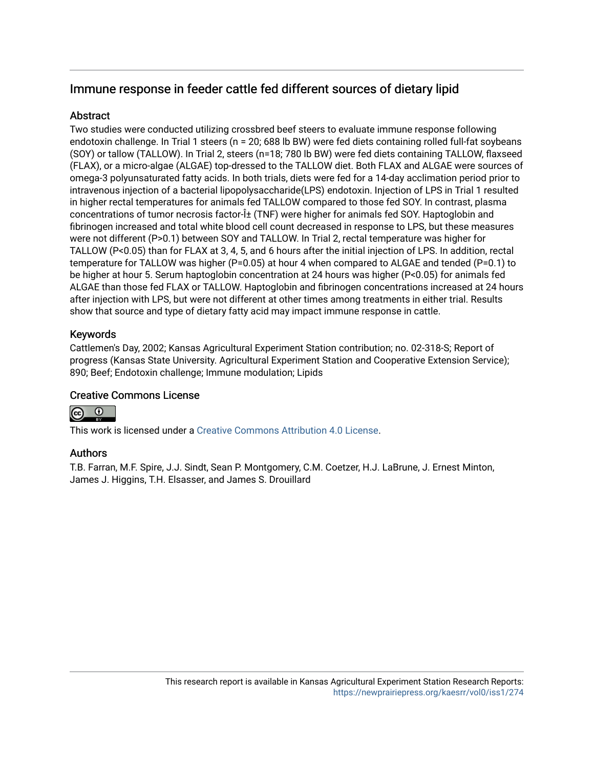# Immune response in feeder cattle fed different sources of dietary lipid

### Abstract

Two studies were conducted utilizing crossbred beef steers to evaluate immune response following endotoxin challenge. In Trial 1 steers (n = 20; 688 lb BW) were fed diets containing rolled full-fat soybeans (SOY) or tallow (TALLOW). In Trial 2, steers (n=18; 780 lb BW) were fed diets containing TALLOW, flaxseed (FLAX), or a micro-algae (ALGAE) top-dressed to the TALLOW diet. Both FLAX and ALGAE were sources of omega-3 polyunsaturated fatty acids. In both trials, diets were fed for a 14-day acclimation period prior to intravenous injection of a bacterial lipopolysaccharide(LPS) endotoxin. Injection of LPS in Trial 1 resulted in higher rectal temperatures for animals fed TALLOW compared to those fed SOY. In contrast, plasma concentrations of tumor necrosis factor- $i$ ± (TNF) were higher for animals fed SOY. Haptoglobin and fibrinogen increased and total white blood cell count decreased in response to LPS, but these measures were not different (P>0.1) between SOY and TALLOW. In Trial 2, rectal temperature was higher for TALLOW (P<0.05) than for FLAX at 3, 4, 5, and 6 hours after the initial injection of LPS. In addition, rectal temperature for TALLOW was higher (P=0.05) at hour 4 when compared to ALGAE and tended (P=0.1) to be higher at hour 5. Serum haptoglobin concentration at 24 hours was higher (P<0.05) for animals fed ALGAE than those fed FLAX or TALLOW. Haptoglobin and fibrinogen concentrations increased at 24 hours after injection with LPS, but were not different at other times among treatments in either trial. Results show that source and type of dietary fatty acid may impact immune response in cattle.

# Keywords

Cattlemen's Day, 2002; Kansas Agricultural Experiment Station contribution; no. 02-318-S; Report of progress (Kansas State University. Agricultural Experiment Station and Cooperative Extension Service); 890; Beef; Endotoxin challenge; Immune modulation; Lipids

#### Creative Commons License



This work is licensed under a [Creative Commons Attribution 4.0 License](https://creativecommons.org/licenses/by/4.0/).

#### Authors

T.B. Farran, M.F. Spire, J.J. Sindt, Sean P. Montgomery, C.M. Coetzer, H.J. LaBrune, J. Ernest Minton, James J. Higgins, T.H. Elsasser, and James S. Drouillard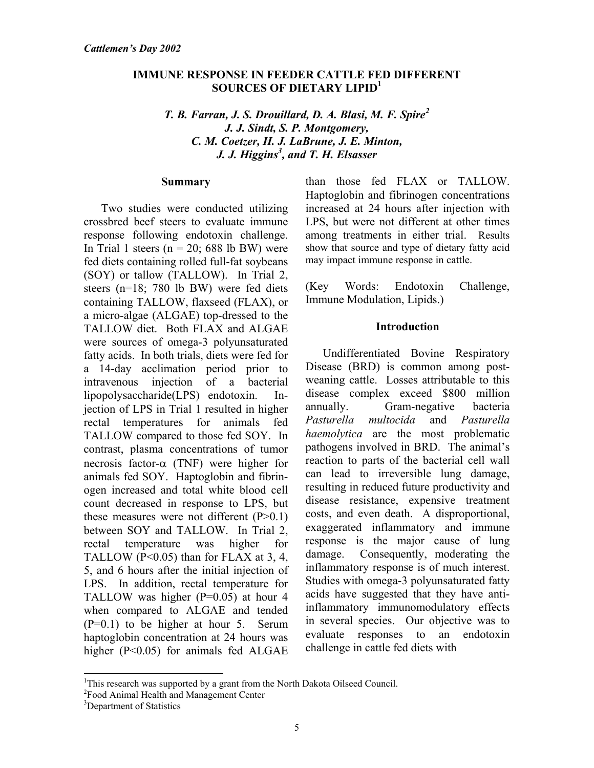#### **IMMUNE RESPONSE IN FEEDER CATTLE FED DIFFERENT SOURCES OF DIETARY LIPID1**

#### *T. B. Farran, J. S. Drouillard, D. A. Blasi, M. F. Spire<sup>2</sup> J. J. Sindt, S. P. Montgomery, C. M. Coetzer, H. J. LaBrune, J. E. Minton, J. J. Higgins<sup>3</sup> , and T. H. Elsasser*

#### **Summary**

Two studies were conducted utilizing crossbred beef steers to evaluate immune response following endotoxin challenge. In Trial 1 steers ( $n = 20$ ; 688 lb BW) were fed diets containing rolled full-fat soybeans (SOY) or tallow (TALLOW). In Trial 2, steers (n=18; 780 lb BW) were fed diets containing TALLOW, flaxseed (FLAX), or a micro-algae (ALGAE) top-dressed to the TALLOW diet. Both FLAX and ALGAE were sources of omega-3 polyunsaturated fatty acids. In both trials, diets were fed for a 14-day acclimation period prior to intravenous injection of a bacterial lipopolysaccharide(LPS) endotoxin. Injection of LPS in Trial 1 resulted in higher rectal temperatures for animals fed TALLOW compared to those fed SOY. In contrast, plasma concentrations of tumor necrosis factor-α (TNF) were higher for animals fed SOY. Haptoglobin and fibrinogen increased and total white blood cell count decreased in response to LPS, but these measures were not different  $(P>0.1)$ between SOY and TALLOW. In Trial 2, rectal temperature was higher for TALLOW ( $P<0.05$ ) than for FLAX at 3, 4, 5, and 6 hours after the initial injection of LPS. In addition, rectal temperature for TALLOW was higher  $(P=0.05)$  at hour 4 when compared to ALGAE and tended (P=0.1) to be higher at hour 5. Serum haptoglobin concentration at 24 hours was higher (P<0.05) for animals fed ALGAE

than those fed FLAX or TALLOW. Haptoglobin and fibrinogen concentrations increased at 24 hours after injection with LPS, but were not different at other times among treatments in either trial. Results show that source and type of dietary fatty acid may impact immune response in cattle.

(Key Words: Endotoxin Challenge, Immune Modulation, Lipids.)

#### **Introduction**

Undifferentiated Bovine Respiratory Disease (BRD) is common among postweaning cattle. Losses attributable to this disease complex exceed \$800 million annually. Gram-negative bacteria *Pasturella multocida* and *Pasturella haemolytica* are the most problematic pathogens involved in BRD. The animal's reaction to parts of the bacterial cell wall can lead to irreversible lung damage, resulting in reduced future productivity and disease resistance, expensive treatment costs, and even death. A disproportional, exaggerated inflammatory and immune response is the major cause of lung damage. Consequently, moderating the inflammatory response is of much interest. Studies with omega-3 polyunsaturated fatty acids have suggested that they have antiinflammatory immunomodulatory effects in several species. Our objective was to evaluate responses to an endotoxin challenge in cattle fed diets with

l

<sup>&</sup>lt;sup>1</sup>This research was supported by a grant from the North Dakota Oilseed Council.

<sup>2</sup> Food Animal Health and Management Center

<sup>&</sup>lt;sup>3</sup>Department of Statistics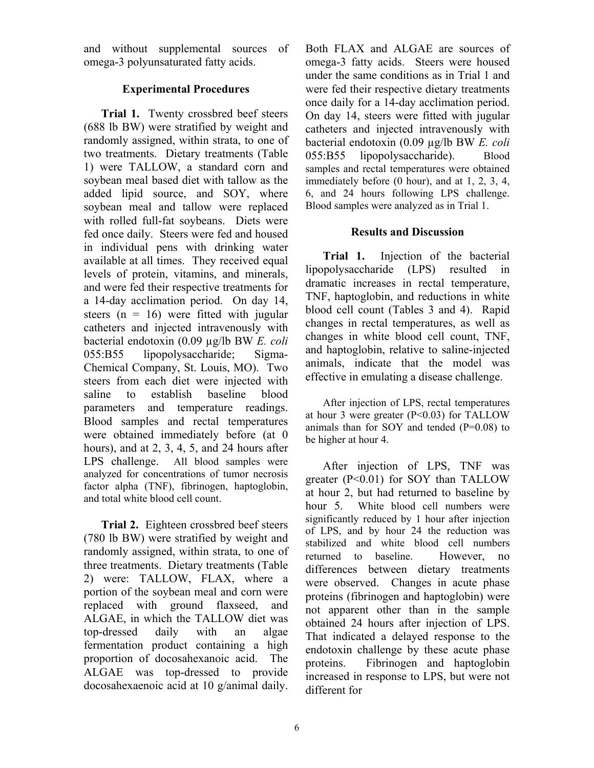and without supplemental sources of omega-3 polyunsaturated fatty acids.

### **Experimental Procedures**

**Trial 1.** Twenty crossbred beef steers (688 lb BW) were stratified by weight and randomly assigned, within strata, to one of two treatments. Dietary treatments (Table 1) were TALLOW, a standard corn and soybean meal based diet with tallow as the added lipid source, and SOY, where soybean meal and tallow were replaced with rolled full-fat soybeans. Diets were fed once daily. Steers were fed and housed in individual pens with drinking water available at all times. They received equal levels of protein, vitamins, and minerals, and were fed their respective treatments for a 14-day acclimation period. On day 14, steers  $(n = 16)$  were fitted with jugular catheters and injected intravenously with bacterial endotoxin (0.09 µg/lb BW *E. coli*  055:B55 lipopolysaccharide; Sigma-Chemical Company, St. Louis, MO). Two steers from each diet were injected with saline to establish baseline blood parameters and temperature readings. Blood samples and rectal temperatures were obtained immediately before (at 0 hours), and at 2, 3, 4, 5, and 24 hours after LPS challenge. All blood samples were analyzed for concentrations of tumor necrosis factor alpha (TNF), fibrinogen, haptoglobin, and total white blood cell count.

**Trial 2.**Eighteen crossbred beef steers (780 lb BW) were stratified by weight and randomly assigned, within strata, to one of three treatments. Dietary treatments (Table 2) were: TALLOW, FLAX, where a portion of the soybean meal and corn were replaced with ground flaxseed, and ALGAE, in which the TALLOW diet was top-dressed daily with an algae fermentation product containing a high proportion of docosahexanoic acid. The ALGAE was top-dressed to provide docosahexaenoic acid at 10 g/animal daily.

Both FLAX and ALGAE are sources of omega-3 fatty acids. Steers were housed under the same conditions as in Trial 1 and were fed their respective dietary treatments once daily for a 14-day acclimation period. On day 14, steers were fitted with jugular catheters and injected intravenously with bacterial endotoxin (0.09 µg/lb BW *E. coli*  055:B55 lipopolysaccharide). Blood samples and rectal temperatures were obtained immediately before (0 hour), and at 1, 2, 3, 4, 6, and 24 hours following LPS challenge. Blood samples were analyzed as in Trial 1.

#### **Results and Discussion**

**Trial 1.** Injection of the bacterial lipopolysaccharide (LPS) resulted in dramatic increases in rectal temperature, TNF, haptoglobin, and reductions in white blood cell count (Tables 3 and 4). Rapid changes in rectal temperatures, as well as changes in white blood cell count, TNF, and haptoglobin, relative to saline-injected animals, indicate that the model was effective in emulating a disease challenge.

After injection of LPS, rectal temperatures at hour 3 were greater (P<0.03) for TALLOW animals than for SOY and tended  $(P=0.08)$  to be higher at hour 4.

After injection of LPS, TNF was greater (P<0.01) for SOY than TALLOW at hour 2, but had returned to baseline by hour 5. White blood cell numbers were significantly reduced by 1 hour after injection of LPS, and by hour 24 the reduction was stabilized and white blood cell numbers returned to baseline. However, no differences between dietary treatments were observed. Changes in acute phase proteins (fibrinogen and haptoglobin) were not apparent other than in the sample obtained 24 hours after injection of LPS. That indicated a delayed response to the endotoxin challenge by these acute phase proteins. Fibrinogen and haptoglobin increased in response to LPS, but were not different for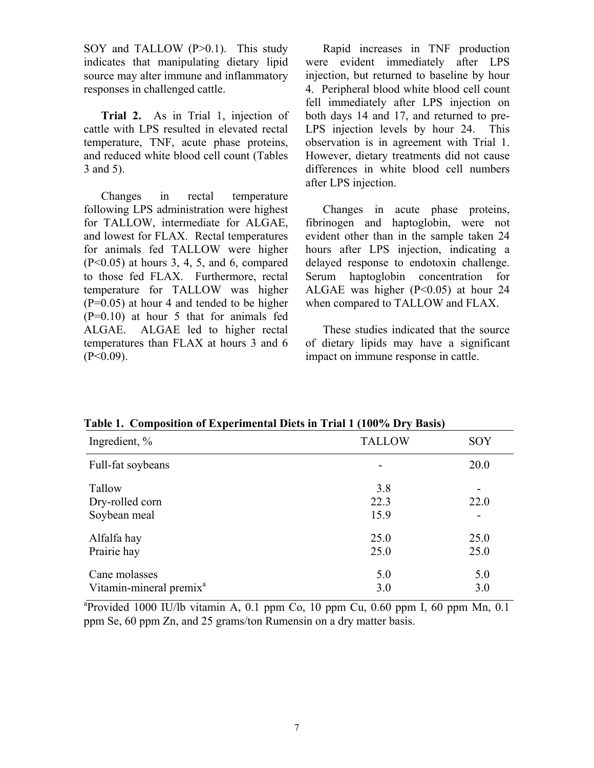SOY and TALLOW (P>0.1). This study indicates that manipulating dietary lipid source may alter immune and inflammatory responses in challenged cattle.

**Trial 2.** As in Trial 1, injection of cattle with LPS resulted in elevated rectal temperature, TNF, acute phase proteins, and reduced white blood cell count (Tables 3 and 5).

Changes in rectal temperature following LPS administration were highest for TALLOW, intermediate for ALGAE, and lowest for FLAX. Rectal temperatures for animals fed TALLOW were higher (P<0.05) at hours 3, 4, 5, and 6, compared to those fed FLAX. Furthermore, rectal temperature for TALLOW was higher  $(P=0.05)$  at hour 4 and tended to be higher (P=0.10) at hour 5 that for animals fed ALGAE. ALGAE led to higher rectal temperatures than FLAX at hours 3 and 6  $(P<0.09)$ .

Rapid increases in TNF production were evident immediately after LPS injection, but returned to baseline by hour 4. Peripheral blood white blood cell count fell immediately after LPS injection on both days 14 and 17, and returned to pre-LPS injection levels by hour 24. This observation is in agreement with Trial 1. However, dietary treatments did not cause differences in white blood cell numbers after LPS injection.

Changes in acute phase proteins, fibrinogen and haptoglobin, were not evident other than in the sample taken 24 hours after LPS injection, indicating a delayed response to endotoxin challenge. Serum haptoglobin concentration for ALGAE was higher  $(P<0.05)$  at hour 24 when compared to TALLOW and FLAX.

These studies indicated that the source of dietary lipids may have a significant impact on immune response in cattle.

| Ingredient, %                       | <b>TALLOW</b> | SOY  |
|-------------------------------------|---------------|------|
| Full-fat soybeans                   |               | 20.0 |
| Tallow                              | 3.8           |      |
| Dry-rolled corn                     | 22.3          | 22.0 |
| Soybean meal                        | 15.9          |      |
| Alfalfa hay                         | 25.0          | 25.0 |
| Prairie hay                         | 25.0          | 25.0 |
| Cane molasses                       | 5.0           | 5.0  |
| Vitamin-mineral premix <sup>a</sup> | 3.0           | 3.0  |

**Table 1. Composition of Experimental Diets in Trial 1 (100% Dry Basis)** 

 $a^2$ Provided 1000 IU/lb vitamin A, 0.1 ppm Co, 10 ppm Cu, 0.60 ppm I, 60 ppm Mn, 0.1 ppm Se, 60 ppm Zn, and 25 grams/ton Rumensin on a dry matter basis.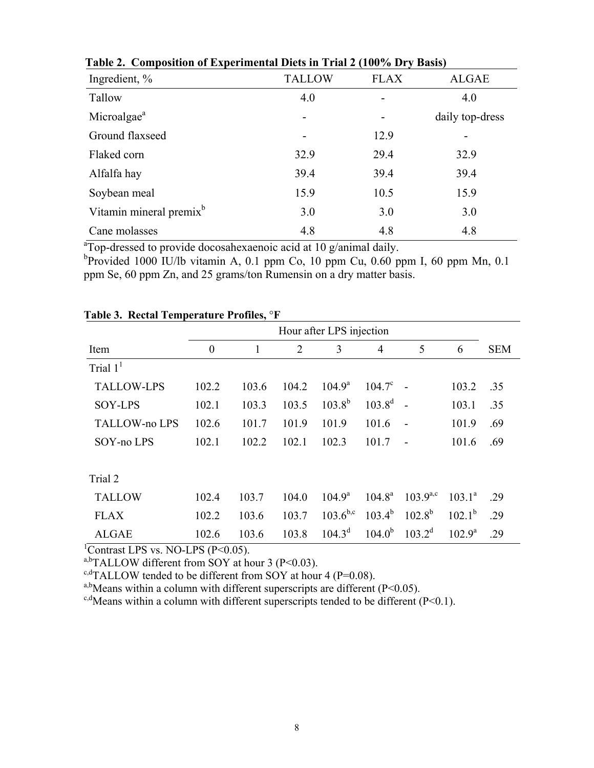| Composition of Experimental Brew in Trian $=$ (10070 Br $\uparrow$ Basis) |               |             |                 |  |  |  |  |  |  |
|---------------------------------------------------------------------------|---------------|-------------|-----------------|--|--|--|--|--|--|
| Ingredient, %                                                             | <b>TALLOW</b> | <b>FLAX</b> | <b>ALGAE</b>    |  |  |  |  |  |  |
| Tallow                                                                    | 4.0           |             | 4.0             |  |  |  |  |  |  |
| Microalgae <sup>a</sup>                                                   | -             |             | daily top-dress |  |  |  |  |  |  |
| Ground flaxseed                                                           |               | 12.9        |                 |  |  |  |  |  |  |
| Flaked corn                                                               | 32.9          | 29.4        | 32.9            |  |  |  |  |  |  |
| Alfalfa hay                                                               | 39.4          | 39.4        | 39.4            |  |  |  |  |  |  |
| Soybean meal                                                              | 15.9          | 10.5        | 15.9            |  |  |  |  |  |  |
| Vitamin mineral premix <sup>b</sup>                                       | 3.0           | 3.0         | 3.0             |  |  |  |  |  |  |
| Cane molasses                                                             | 4.8           | 4.8         | 4.8             |  |  |  |  |  |  |

 **Table 2. Composition of Experimental Diets in Trial 2 (100% Dry Basis)** 

<sup>a</sup>Top-dressed to provide docosahexaenoic acid at 10 g/animal daily.

<sup>b</sup>Provided 1000 IU/lb vitamin A, 0.1 ppm Co, 10 ppm Cu, 0.60 ppm I, 60 ppm Mn, 0.1 ppm Se, 60 ppm Zn, and 25 grams/ton Rumensin on a dry matter basis.

|                      | Hour after LPS injection |       |                |                 |                 |               |                    |            |
|----------------------|--------------------------|-------|----------------|-----------------|-----------------|---------------|--------------------|------------|
| Item                 | $\boldsymbol{0}$         |       | $\overline{2}$ | 3               | $\overline{4}$  | 5             | 6                  | <b>SEM</b> |
| Trial $11$           |                          |       |                |                 |                 |               |                    |            |
| <b>TALLOW-LPS</b>    | 102.2                    | 103.6 | 104.2          | $104.9^{\rm a}$ | $104.7^{\circ}$ |               | 103.2              | .35        |
| <b>SOY-LPS</b>       | 102.1                    | 103.3 | 103.5          | $103.8^{b}$     | $103.8^{d}$     |               | 103.1              | .35        |
| <b>TALLOW-no LPS</b> | 102.6                    | 101.7 | 101.9          | 101.9           | 101.6           |               | 101.9              | .69        |
| SOY-no LPS           | 102.1                    | 102.2 | 102.1          | 102.3           | 101.7           |               | 101.6              | .69        |
|                      |                          |       |                |                 |                 |               |                    |            |
| Trial 2              |                          |       |                |                 |                 |               |                    |            |
| <b>TALLOW</b>        | 102.4                    | 103.7 | 104.0          | $104.9^{\rm a}$ | $104.8^{\rm a}$ | $103.9^{a,c}$ | $103.1^a$          | .29        |
| <b>FLAX</b>          | 102.2                    | 103.6 | 103.7          | $103.6^{b,c}$   | $103.4^{b}$     | $102.8^{b}$   | $102.1^{b}$        | .29        |
| <b>ALGAE</b>         | 102.6                    | 103.6 | 103.8          | $104.3^d$       | $104.0^{b}$     | $103.2^d$     | $102.9^{\text{a}}$ | .29        |

# **Table 3. Rectal Temperature Profiles,** °**F**

<sup>1</sup>Contrast LPS vs. NO-LPS (P<0.05).

a,bTALLOW different from SOY at hour 3 (P<0.03).

<sup>c,d</sup>TALLOW tended to be different from SOY at hour 4 (P=0.08).

<sup>a,b</sup>Means within a column with different superscripts are different (P<0.05).

<sup>c,d</sup>Means within a column with different superscripts tended to be different (P<0.1).